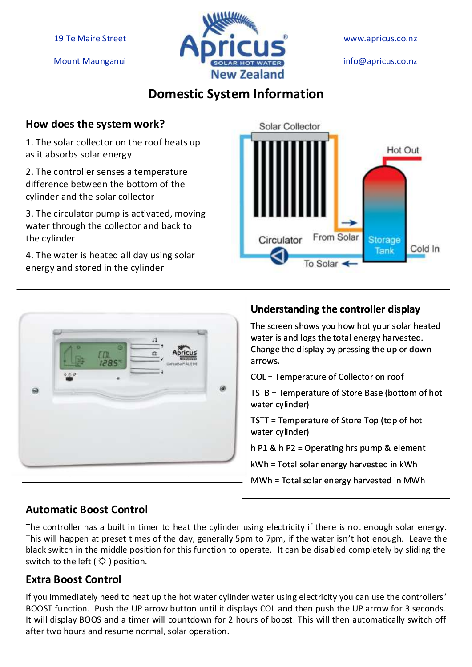19 Te Maire Street

Mount Maunganui



www.apricus.co.nz

info@apricus.co.nz

### **Domestic System Information**

#### **How does the system work?**

1. The solar collector on the roof heats up as it absorbs solar energy

2. The controller senses a temperature difference between the bottom of the cylinder and the solar collector

3. The circulator pump is activated, moving water through the collector and back to the cylinder

4. The water is heated all day using solar energy and stored in the cylinder





#### **Understanding the controller display**

The screen shows you how hot your solar heated water is and logs the total energy harvested. Change the display by pressing the up or down arrows.

COL = Temperature of Collector on roof

TSTB = Temperature of Store Base (bottom of hot water cylinder)

TSTT = Temperature of Store Top (top of hot water cylinder)

h P1 & h P2 = Operating hrs pump & element

kWh = Total solar energy harvested in kWh

MWh = Total solar energy harvested in MWh

#### **Automatic Boost Control**

The controller has a built in timer to heat the cylinder using electricity if there is not enough solar energy. This will happen at preset times of the day, generally 5pm to 7pm, if the water isn't hot enough. Leave the black switch in the middle position for this function to operate. It can be disabled completely by sliding the switch to the left ( $\varphi$ ) position.

#### **Extra Boost Control**

If you immediately need to heat up the hot water cylinder water using electricity you can use the controllers' BOOST function. Push the UP arrow button until it displays COL and then push the UP arrow for 3 seconds. It will display BOOS and a timer will countdown for 2 hours of boost. This will then automatically switch off after two hours and resume normal, solar operation.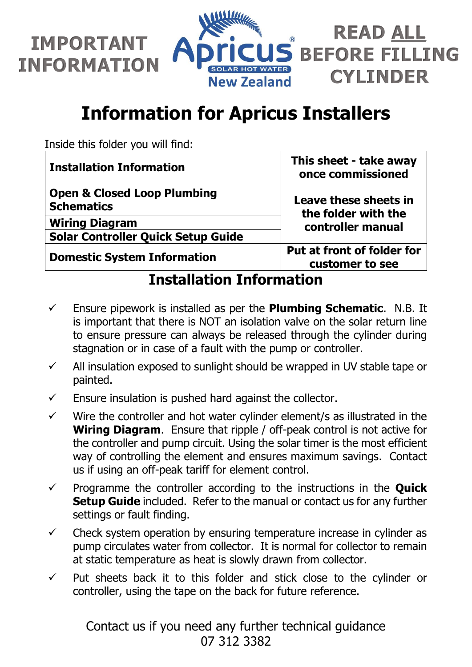



# **Information for Apricus Installers**

Inside this folder you will find:

| <b>Installation Information</b>                             | This sheet - take away<br>once commissioned                       |
|-------------------------------------------------------------|-------------------------------------------------------------------|
| <b>Open &amp; Closed Loop Plumbing</b><br><b>Schematics</b> | Leave these sheets in<br>the folder with the<br>controller manual |
| <b>Wiring Diagram</b>                                       |                                                                   |
| <b>Solar Controller Quick Setup Guide</b>                   |                                                                   |
| <b>Domestic System Information</b>                          | Put at front of folder for<br>customer to see                     |

**Installation Information**

- Ensure pipework is installed as per the **Plumbing Schematic**. N.B. It is important that there is NOT an isolation valve on the solar return line to ensure pressure can always be released through the cylinder during stagnation or in case of a fault with the pump or controller.
- $\checkmark$  All insulation exposed to sunlight should be wrapped in UV stable tape or painted.
- $\checkmark$  Ensure insulation is pushed hard against the collector.
- $\checkmark$  Wire the controller and hot water cylinder element/s as illustrated in the **Wiring Diagram**. Ensure that ripple / off-peak control is not active for the controller and pump circuit. Using the solar timer is the most efficient way of controlling the element and ensures maximum savings. Contact us if using an off-peak tariff for element control.
- $\checkmark$  Programme the controller according to the instructions in the **Quick Setup Guide** included. Refer to the manual or contact us for any further settings or fault finding.
- $\checkmark$  Check system operation by ensuring temperature increase in cylinder as pump circulates water from collector. It is normal for collector to remain at static temperature as heat is slowly drawn from collector.
- $\checkmark$  Put sheets back it to this folder and stick close to the cylinder or controller, using the tape on the back for future reference.

Contact us if you need any further technical guidance 07 312 3382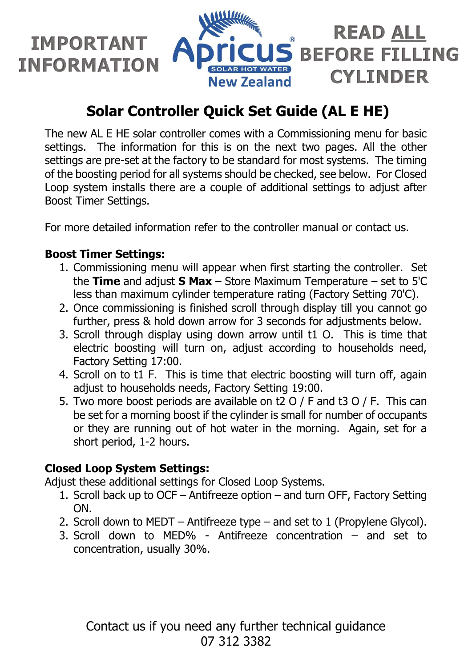

## **Solar Controller Quick Set Guide (AL E HE)**

The new AL E HE solar controller comes with a Commissioning menu for basic settings. The information for this is on the next two pages. All the other settings are pre-set at the factory to be standard for most systems. The timing of the boosting period for all systems should be checked, see below. For Closed Loop system installs there are a couple of additional settings to adjust after Boost Timer Settings.

For more detailed information refer to the controller manual or contact us.

#### **Boost Timer Settings:**

- 1. Commissioning menu will appear when first starting the controller. Set the **Time** and adjust **S Max** – Store Maximum Temperature – set to 5'C less than maximum cylinder temperature rating (Factory Setting 70'C).
- 2. Once commissioning is finished scroll through display till you cannot go further, press & hold down arrow for 3 seconds for adjustments below.
- 3. Scroll through display using down arrow until t1 O. This is time that electric boosting will turn on, adjust according to households need, Factory Setting 17:00.
- 4. Scroll on to t1 F. This is time that electric boosting will turn off, again adjust to households needs, Factory Setting 19:00.
- 5. Two more boost periods are available on t2 O / F and t3 O / F. This can be set for a morning boost if the cylinder is small for number of occupants or they are running out of hot water in the morning. Again, set for a short period, 1-2 hours.

#### **Closed Loop System Settings:**

Adjust these additional settings for Closed Loop Systems.

- 1. Scroll back up to OCF Antifreeze option and turn OFF, Factory Setting ON.
- 2. Scroll down to MEDT Antifreeze type and set to 1 (Propylene Glycol).
- 3. Scroll down to MED% Antifreeze concentration and set to concentration, usually 30%.

Contact us if you need any further technical guidance 07 312 3382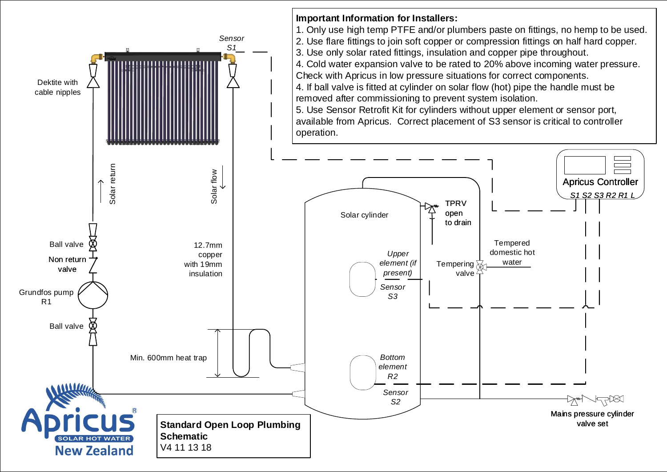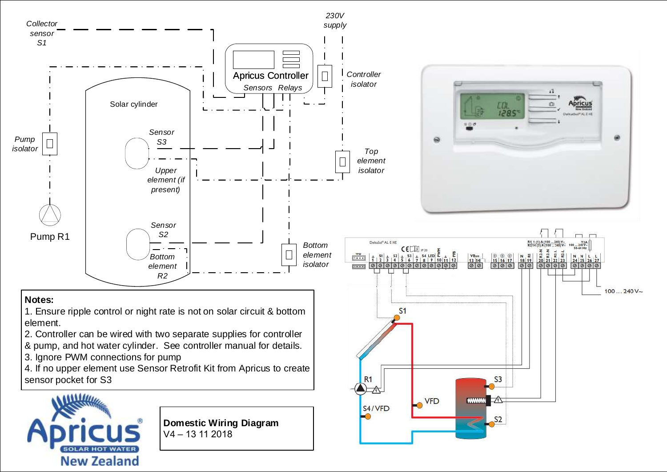